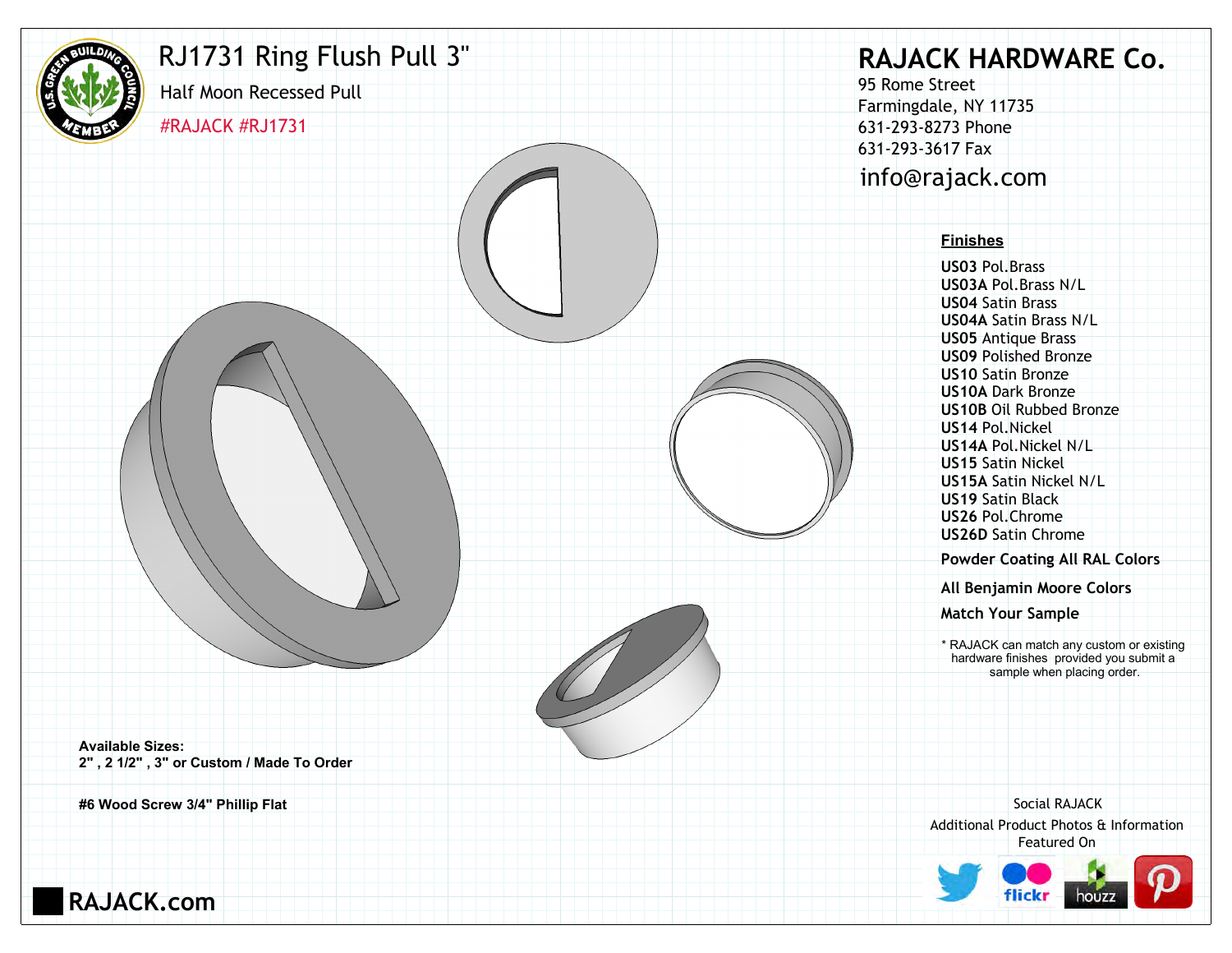

#### RJ1731 Ring Flush Pull 3"

#RAJACK #RJ1731 Half Moon Recessed Pull

### **RAJACK HARDWARE Co.**

95 Rome Street Farmingdale, NY 11735 631-293-8273 Phone 631-293-3617 Fax info@rajack.com

#### **Finishes**

**US03** Pol.Brass **US03A** Pol.Brass N/L **US04** Satin Brass **US04A** Satin Brass N/L **US05** Antique Brass **US09** Polished Bronze **US10** Satin Bronze **US10A** Dark Bronze **US10B** Oil Rubbed Bronze **US14** Pol.Nickel **US14A** Pol.Nickel N/L **US15** Satin Nickel **US15A** Satin Nickel N/L **US19** Satin Black **US26** Pol.Chrome **US26D** Satin Chrome

**Powder Coating All RAL Colors**

**All Benjamin Moore Colors**

**Match Your Sample**

hardware finishes provided you submit a sample when placing order.

**Available Sizes: 2" , 2 1/2" , 3" or Custom / Made To Order**

**#6 Wood Screw 3/4" Phillip Flat**

Additional Product Photos & Information Featured On Social RAJACK Match Your Sample<br>
\* RAJACK can match any custom or existing<br>
hardware finishes provided you submit a<br>
sample when placing order.<br>
Social RAJACK<br>
Additional Product Photos & Information



**RAJACK.com**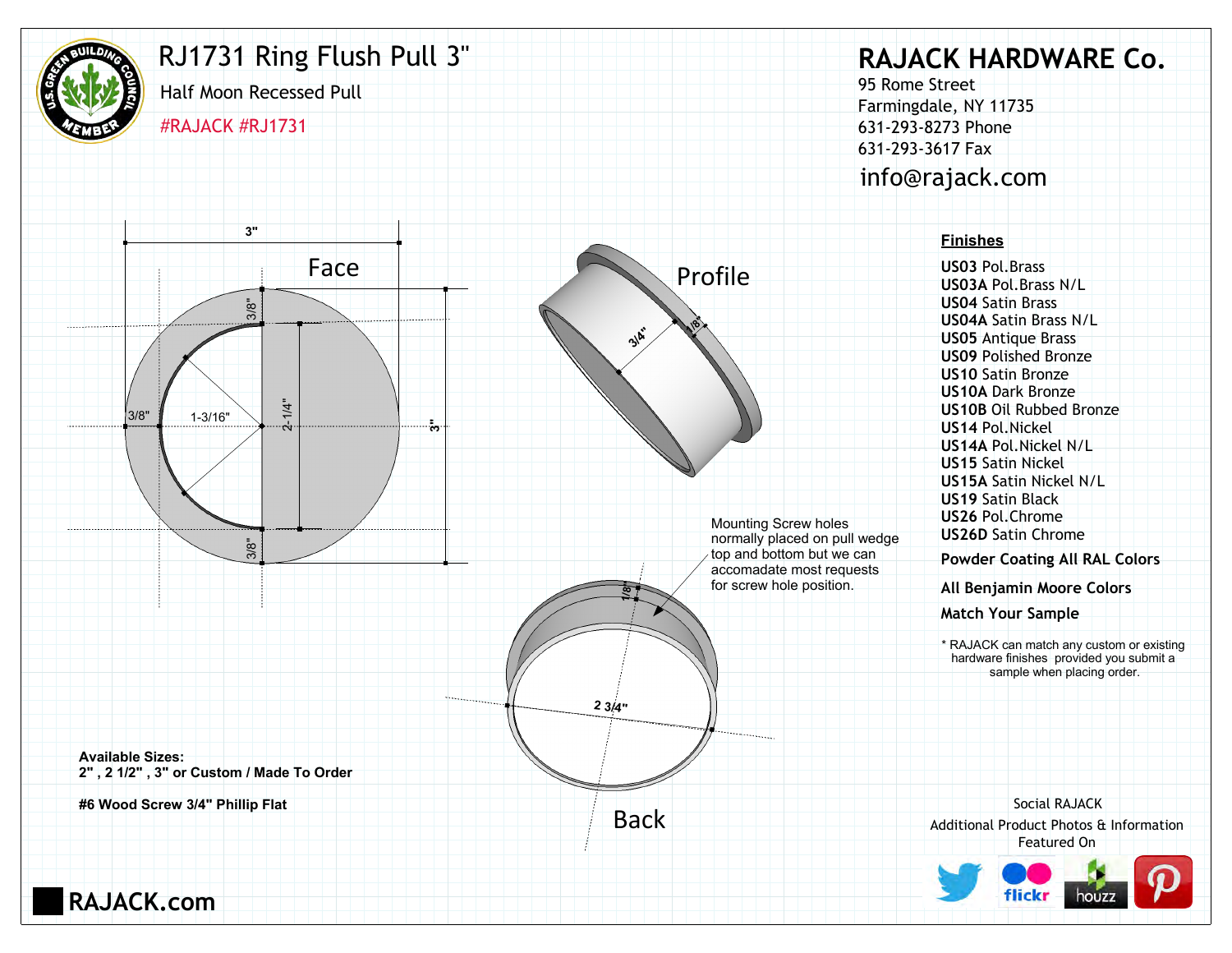

## RJ1731 Ring Flush Pull 3"

Half Moon Recessed Pull #RAJACK #RJ1731

**3"**

## **RAJACK HARDWARE Co.**

95 Rome Street Farmingdale, NY 11735 631-293-8273 Phone 631-293-3617 Fax info@rajack.com

#### **Finishes**

**US03** Pol.Brass **US03A** Pol.Brass N/L **US04** Satin Brass **US04A** Satin Brass N/L **US05** Antique Brass **US09** Polished Bronze **US10** Satin Bronze **US10A** Dark Bronze **US10B** Oil Rubbed Bronze **US14** Pol.Nickel **US14A** Pol.Nickel N/L **US15** Satin Nickel **US15A** Satin Nickel N/L **US19** Satin Black **US26** Pol.Chrome **US26D** Satin Chrome

**Powder Coating All RAL Colors**

**All Benjamin Moore Colors**

**Match Your Sample**

hardware finishes provided you submit a sample when placing order.

Additional Product Photos & Information Featured On Social RAJACK





**RAJACK.com**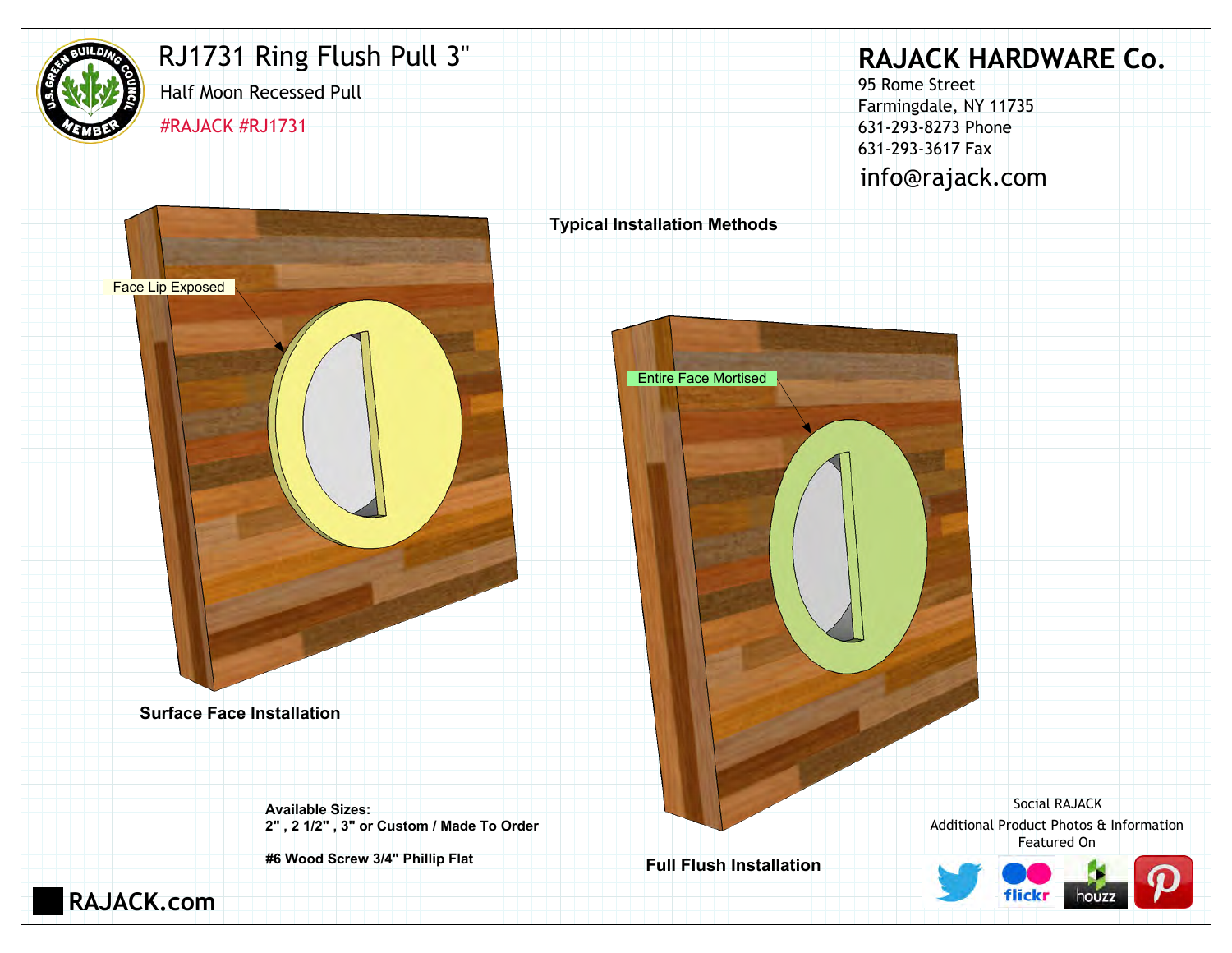

## RJ1731 Ring Flush Pull 3"

Half Moon Recessed Pull

#RAJACK #RJ1731

# **RAJACK HARDWARE Co.**

95 Rome Street Farmingdale, NY 11735 631-293-8273 Phone 631-293-3617 Fax info@rajack.com



Additional Product Photos & Information Featured On Social RAJACK